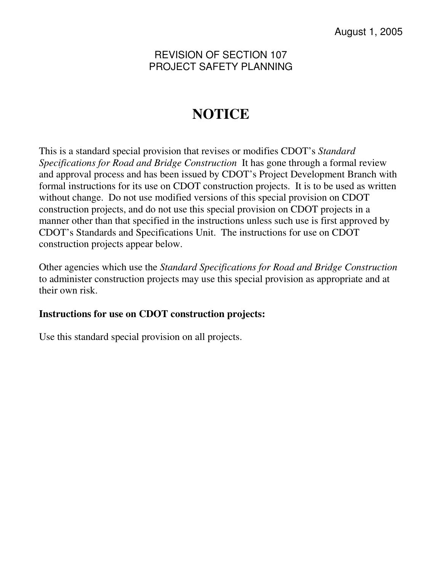# **NOTICE**

This is a standard special provision that revises or modifies CDOT's *Standard Specifications for Road and Bridge Construction* It has gone through a formal review and approval process and has been issued by CDOT's Project Development Branch with formal instructions for its use on CDOT construction projects. It is to be used as written without change. Do not use modified versions of this special provision on CDOT construction projects, and do not use this special provision on CDOT projects in a manner other than that specified in the instructions unless such use is first approved by CDOT's Standards and Specifications Unit. The instructions for use on CDOT construction projects appear below.

Other agencies which use the *Standard Specifications for Road and Bridge Construction* to administer construction projects may use this special provision as appropriate and at their own risk.

# **Instructions for use on CDOT construction projects:**

Use this standard special provision on all projects.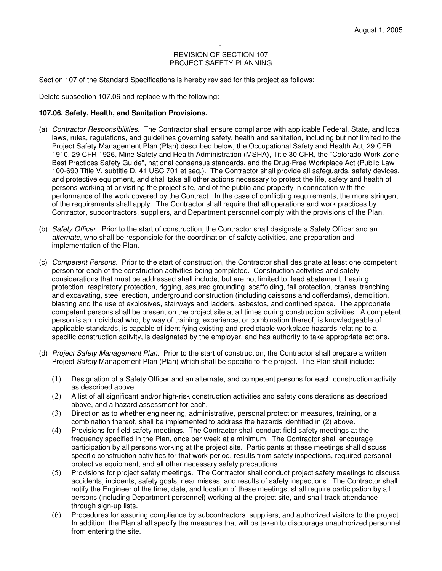Section 107 of the Standard Specifications is hereby revised for this project as follows:

Delete subsection 107.06 and replace with the following:

## **107.06. Safety, Health, and Sanitation Provisions.**

- (a) Contractor Responsibilities. The Contractor shall ensure compliance with applicable Federal, State, and local laws, rules, regulations, and guidelines governing safety, health and sanitation, including but not limited to the Project Safety Management Plan (Plan) described below, the Occupational Safety and Health Act, 29 CFR 1910, 29 CFR 1926, Mine Safety and Health Administration (MSHA), Title 30 CFR, the "Colorado Work Zone Best Practices Safety Guide", national consensus standards, and the Drug-Free Workplace Act (Public Law 100-690 Title V, subtitle D, 41 USC 701 et seq.). The Contractor shall provide all safeguards, safety devices, and protective equipment, and shall take all other actions necessary to protect the life, safety and health of persons working at or visiting the project site, and of the public and property in connection with the performance of the work covered by the Contract. In the case of conflicting requirements, the more stringent of the requirements shall apply. The Contractor shall require that all operations and work practices by Contractor, subcontractors, suppliers, and Department personnel comply with the provisions of the Plan.
- (b) Safety Officer. Prior to the start of construction, the Contractor shall designate a Safety Officer and an alternate, who shall be responsible for the coordination of safety activities, and preparation and implementation of the Plan.
- (c) Competent Persons. Prior to the start of construction, the Contractor shall designate at least one competent person for each of the construction activities being completed. Construction activities and safety considerations that must be addressed shall include, but are not limited to: lead abatement, hearing protection, respiratory protection, rigging, assured grounding, scaffolding, fall protection, cranes, trenching and excavating, steel erection, underground construction (including caissons and cofferdams), demolition, blasting and the use of explosives, stairways and ladders, asbestos, and confined space. The appropriate competent persons shall be present on the project site at all times during construction activities. A competent person is an individual who, by way of training, experience, or combination thereof, is knowledgeable of applicable standards, is capable of identifying existing and predictable workplace hazards relating to a specific construction activity, is designated by the employer, and has authority to take appropriate actions.
- (d) Project Safety Management Plan. Prior to the start of construction, the Contractor shall prepare a written Project Safety Management Plan (Plan) which shall be specific to the project. The Plan shall include:
	- (1) Designation of a Safety Officer and an alternate, and competent persons for each construction activity as described above.
	- (2) A list of all significant and/or high-risk construction activities and safety considerations as described above, and a hazard assessment for each.
	- (3) Direction as to whether engineering, administrative, personal protection measures, training, or a combination thereof, shall be implemented to address the hazards identified in (2) above.
	- (4) Provisions for field safety meetings. The Contractor shall conduct field safety meetings at the frequency specified in the Plan, once per week at a minimum. The Contractor shall encourage participation by all persons working at the project site. Participants at these meetings shall discuss specific construction activities for that work period, results from safety inspections, required personal protective equipment, and all other necessary safety precautions.
	- (5) Provisions for project safety meetings. The Contractor shall conduct project safety meetings to discuss accidents, incidents, safety goals, near misses, and results of safety inspections. The Contractor shall notify the Engineer of the time, date, and location of these meetings, shall require participation by all persons (including Department personnel) working at the project site, and shall track attendance through sign-up lists.
	- (6) Procedures for assuring compliance by subcontractors, suppliers, and authorized visitors to the project. In addition, the Plan shall specify the measures that will be taken to discourage unauthorized personnel from entering the site.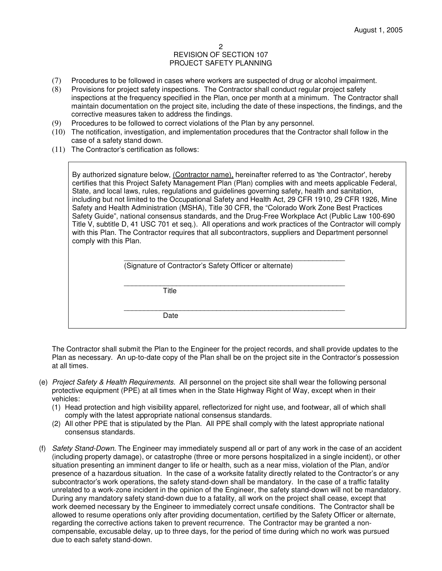- (7) Procedures to be followed in cases where workers are suspected of drug or alcohol impairment.
- (8) Provisions for project safety inspections. The Contractor shall conduct regular project safety inspections at the frequency specified in the Plan, once per month at a minimum. The Contractor shall maintain documentation on the project site, including the date of these inspections, the findings, and the corrective measures taken to address the findings.
- (9) Procedures to be followed to correct violations of the Plan by any personnel.
- (10) The notification, investigation, and implementation procedures that the Contractor shall follow in the case of a safety stand down.
- (11) The Contractor's certification as follows:

By authorized signature below, (Contractor name), hereinafter referred to as 'the Contractor', hereby certifies that this Project Safety Management Plan (Plan) complies with and meets applicable Federal, State, and local laws, rules, regulations and guidelines governing safety, health and sanitation, including but not limited to the Occupational Safety and Health Act, 29 CFR 1910, 29 CFR 1926, Mine Safety and Health Administration (MSHA), Title 30 CFR, the "Colorado Work Zone Best Practices Safety Guide", national consensus standards, and the Drug-Free Workplace Act (Public Law 100-690 Title V, subtitle D, 41 USC 701 et seq.). All operations and work practices of the Contractor will comply with this Plan. The Contractor requires that all subcontractors, suppliers and Department personnel comply with this Plan.

| (Signature of Contractor's Safety Officer or alternate) |  |
|---------------------------------------------------------|--|

 \_\_\_\_\_\_\_\_\_\_\_\_\_\_\_\_\_\_\_\_\_\_\_\_\_\_\_\_\_\_\_\_\_\_\_\_\_\_\_\_\_\_\_\_\_\_\_\_\_\_\_\_\_\_\_ **Title** 

 \_\_\_\_\_\_\_\_\_\_\_\_\_\_\_\_\_\_\_\_\_\_\_\_\_\_\_\_\_\_\_\_\_\_\_\_\_\_\_\_\_\_\_\_\_\_\_\_\_\_\_\_\_\_\_ Date

The Contractor shall submit the Plan to the Engineer for the project records, and shall provide updates to the Plan as necessary. An up-to-date copy of the Plan shall be on the project site in the Contractor's possession at all times.

- (e) Project Safety & Health Requirements. All personnel on the project site shall wear the following personal protective equipment (PPE) at all times when in the State Highway Right of Way, except when in their vehicles:
	- (1) Head protection and high visibility apparel, reflectorized for night use, and footwear, all of which shall comply with the latest appropriate national consensus standards.
	- (2) All other PPE that is stipulated by the Plan. All PPE shall comply with the latest appropriate national consensus standards.
- (f) Safety Stand-Down. The Engineer may immediately suspend all or part of any work in the case of an accident (including property damage), or catastrophe (three or more persons hospitalized in a single incident), or other situation presenting an imminent danger to life or health, such as a near miss, violation of the Plan, and/or presence of a hazardous situation. In the case of a worksite fatality directly related to the Contractor's or any subcontractor's work operations, the safety stand-down shall be mandatory. In the case of a traffic fatality unrelated to a work-zone incident in the opinion of the Engineer, the safety stand-down will not be mandatory. During any mandatory safety stand-down due to a fatality, all work on the project shall cease, except that work deemed necessary by the Engineer to immediately correct unsafe conditions. The Contractor shall be allowed to resume operations only after providing documentation, certified by the Safety Officer or alternate, regarding the corrective actions taken to prevent recurrence. The Contractor may be granted a noncompensable, excusable delay, up to three days, for the period of time during which no work was pursued due to each safety stand-down.